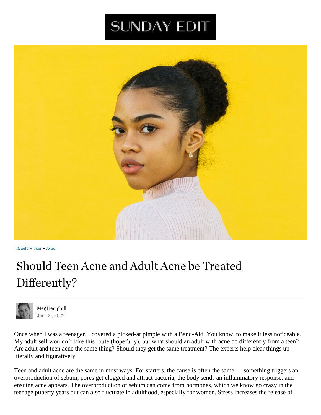## **SUNDAY EDIT**



Beauty » Skin » Acne

## Should Teen Acne and Adult Acne be Treated Differently?



Meg Hemphill June 21, 2022

Once when I was a teenager, I covered a picked-at pimple with a Band-Aid. You know, to make it less noticeable. My adult self wouldn't take this route (hopefully), but what should an adult with acne do differently from a teen? Are adult and teen acne the same thing? Should they get the same treatment? The experts help clear things up literally and figuratively.

Teen and adult acne are the same in most ways. For starters, the cause is often the same — something triggers an overproduction of sebum, pores get clogged and attract bacteria, the body sends an inflammatory response, and ensuing acne appears. The overproduction of sebum can come from hormones, which we know go crazy in the teenage puberty years but can also fluctuate in adulthood, especially for women. Stress increases the release of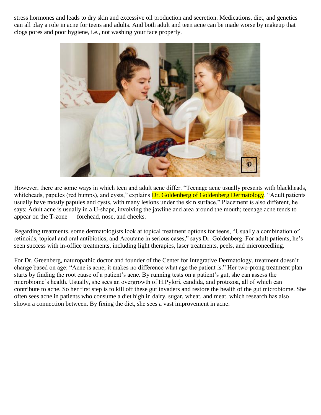stress hormones and leads to dry skin and excessive oil production and secretion. Medications, diet, and genetics can all play a role in acne for teens and adults. And both adult and teen acne can be made worse by makeup that clogs pores and poor hygiene, i.e., not washing your face properly.



However, there are some ways in which teen and adult acne differ. "Teenage acne usually presents with blackheads, whiteheads, papules (red bumps), and cysts," explains **Dr. Goldenberg of Goldenberg Dermatology**. "Adult patients usually have mostly papules and cysts, with many lesions under the skin surface." Placement is also different, he says: Adult acne is usually in a U-shape, involving the jawline and area around the mouth; teenage acne tends to appear on the T-zone — forehead, nose, and cheeks.

Regarding treatments, some dermatologists look at topical treatment options for teens, "Usually a combination of retinoids, topical and oral antibiotics, and Accutane in serious cases," says Dr. Goldenberg. For adult patients, he's seen success with in-office treatments, including light therapies, laser treatments, peels, and microneedling.

For Dr. Greenberg, naturopathic doctor and founder of the Center for Integrative Dermatology, treatment doesn't change based on age: "Acne is acne; it makes no difference what age the patient is." Her two-prong treatment plan starts by finding the root cause of a patient's acne. By running tests on a patient's gut, she can assess the microbiome's health. Usually, she sees an overgrowth of H.Pylori, candida, and protozoa, all of which can contribute to acne. So her first step is to kill off these gut invaders and restore the health of the gut microbiome. She often sees acne in patients who consume a diet high in dairy, sugar, wheat, and meat, which research has also shown a connection between. By fixing the diet, she sees a vast improvement in acne.